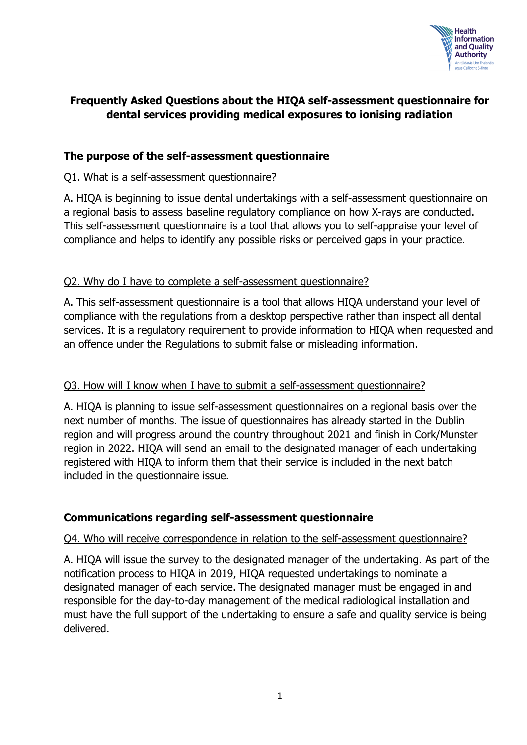

# **Frequently Asked Questions about the HIQA self-assessment questionnaire for dental services providing medical exposures to ionising radiation**

## **The purpose of the self-assessment questionnaire**

### Q1. What is a self-assessment questionnaire?

A. HIQA is beginning to issue dental undertakings with a self-assessment questionnaire on a regional basis to assess baseline regulatory compliance on how X-rays are conducted. This self-assessment questionnaire is a tool that allows you to self-appraise your level of compliance and helps to identify any possible risks or perceived gaps in your practice.

## Q2. Why do I have to complete a self-assessment questionnaire?

A. This self-assessment questionnaire is a tool that allows HIQA understand your level of compliance with the regulations from a desktop perspective rather than inspect all dental services. It is a regulatory requirement to provide information to HIQA when requested and an offence under the Regulations to submit false or misleading information.

### Q3. How will I know when I have to submit a self-assessment questionnaire?

A. HIQA is planning to issue self-assessment questionnaires on a regional basis over the next number of months. The issue of questionnaires has already started in the Dublin region and will progress around the country throughout 2021 and finish in Cork/Munster region in 2022. HIQA will send an email to the designated manager of each undertaking registered with HIQA to inform them that their service is included in the next batch included in the questionnaire issue.

# **Communications regarding self-assessment questionnaire**

### Q4. Who will receive correspondence in relation to the self-assessment questionnaire?

A. HIQA will issue the survey to the designated manager of the undertaking. As part of the notification process to HIQA in 2019, HIQA requested undertakings to nominate a designated manager of each service. The designated manager must be engaged in and responsible for the day-to-day management of the medical radiological installation and must have the full support of the undertaking to ensure a safe and quality service is being delivered.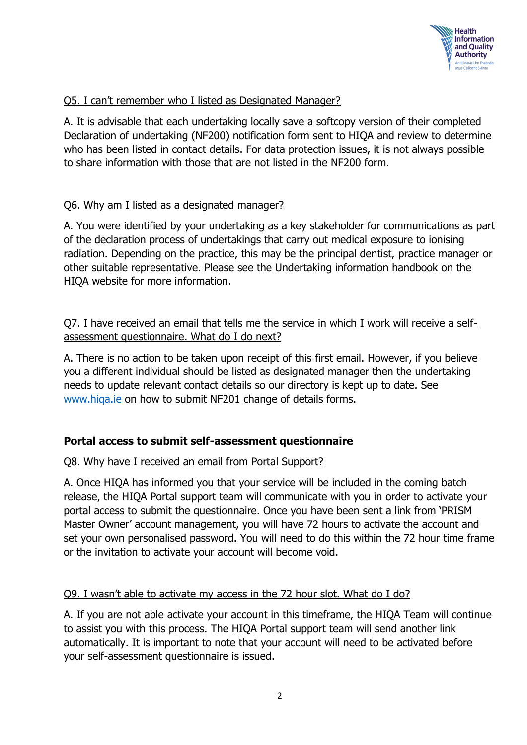

## Q5. I can't remember who I listed as Designated Manager?

A. It is advisable that each undertaking locally save a softcopy version of their completed Declaration of undertaking (NF200) notification form sent to HIQA and review to determine who has been listed in contact details. For data protection issues, it is not always possible to share information with those that are not listed in the NF200 form.

## Q6. Why am I listed as a designated manager?

A. You were identified by your undertaking as a key stakeholder for communications as part of the declaration process of undertakings that carry out medical exposure to ionising radiation. Depending on the practice, this may be the principal dentist, practice manager or other suitable representative. Please see the Undertaking information handbook on the HIQA website for more information.

Q7. I have received an email that tells me the service in which I work will receive a selfassessment questionnaire. What do I do next?

A. There is no action to be taken upon receipt of this first email. However, if you believe you a different individual should be listed as designated manager then the undertaking needs to update relevant contact details so our directory is kept up to date. See [www.hiqa.ie](http://www.hiqa.ie/) on how to submit NF201 change of details forms.

# **Portal access to submit self-assessment questionnaire**

### Q8. Why have I received an email from Portal Support?

A. Once HIQA has informed you that your service will be included in the coming batch release, the HIQA Portal support team will communicate with you in order to activate your portal access to submit the questionnaire. Once you have been sent a link from 'PRISM Master Owner' account management, you will have 72 hours to activate the account and set your own personalised password. You will need to do this within the 72 hour time frame or the invitation to activate your account will become void.

#### Q9. I wasn't able to activate my access in the 72 hour slot. What do I do?

A. If you are not able activate your account in this timeframe, the HIQA Team will continue to assist you with this process. The HIQA Portal support team will send another link automatically. It is important to note that your account will need to be activated before your self-assessment questionnaire is issued.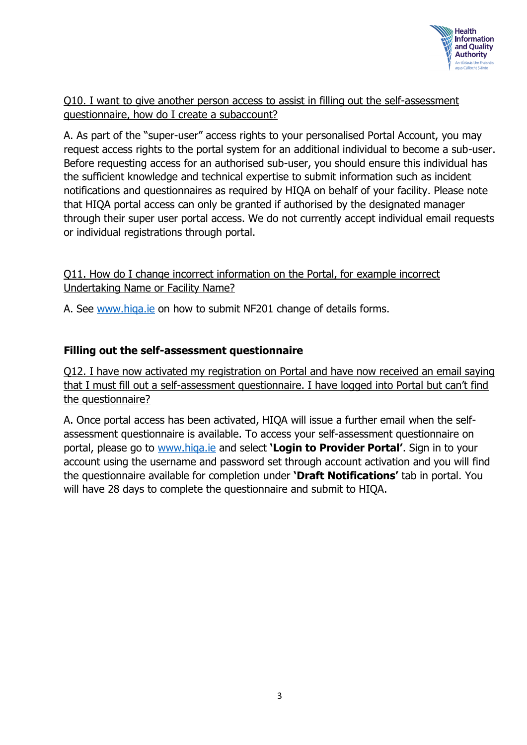

Q10. I want to give another person access to assist in filling out the self-assessment questionnaire, how do I create a subaccount?

A. As part of the "super-user" access rights to your personalised Portal Account, you may request access rights to the portal system for an additional individual to become a sub-user. Before requesting access for an authorised sub-user, you should ensure this individual has the sufficient knowledge and technical expertise to submit information such as incident notifications and questionnaires as required by HIQA on behalf of your facility. Please note that HIQA portal access can only be granted if authorised by the designated manager through their super user portal access. We do not currently accept individual email requests or individual registrations through portal.

Q11. How do I change incorrect information on the Portal, for example incorrect Undertaking Name or Facility Name?

A. See [www.hiqa.ie](http://www.hiqa.ie/) on how to submit NF201 change of details forms.

## **Filling out the self-assessment questionnaire**

Q12. I have now activated my registration on Portal and have now received an email saying that I must fill out a self-assessment questionnaire. I have logged into Portal but can't find the questionnaire?

A. Once portal access has been activated, HIQA will issue a further email when the selfassessment questionnaire is available. To access your self-assessment questionnaire on portal, please go to [www.hiqa.ie](http://www.hiqa.ie/) and select **'Login to Provider Portal'**. Sign in to your account using the username and password set through account activation and you will find the questionnaire available for completion under **'Draft Notifications'** tab in portal. You will have 28 days to complete the questionnaire and submit to HIQA.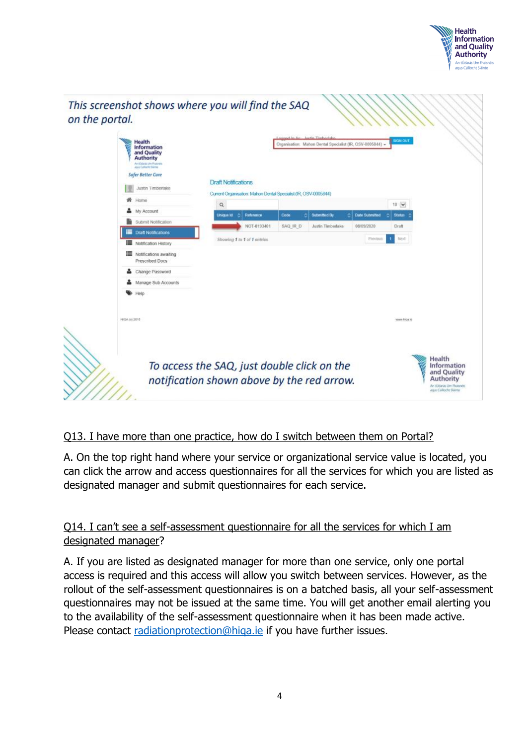



# Q13. I have more than one practice, how do I switch between them on Portal?

A. On the top right hand where your service or organizational service value is located, you can click the arrow and access questionnaires for all the services for which you are listed as designated manager and submit questionnaires for each service.

# Q14. I can't see a self-assessment questionnaire for all the services for which I am designated manager?

A. If you are listed as designated manager for more than one service, only one portal access is required and this access will allow you switch between services. However, as the rollout of the self-assessment questionnaires is on a batched basis, all your self-assessment questionnaires may not be issued at the same time. You will get another email alerting you to the availability of the self-assessment questionnaire when it has been made active. Please contact [radiationprotection@hiqa.ie](mailto:radiationprotection@hiqa.ie) if you have further issues.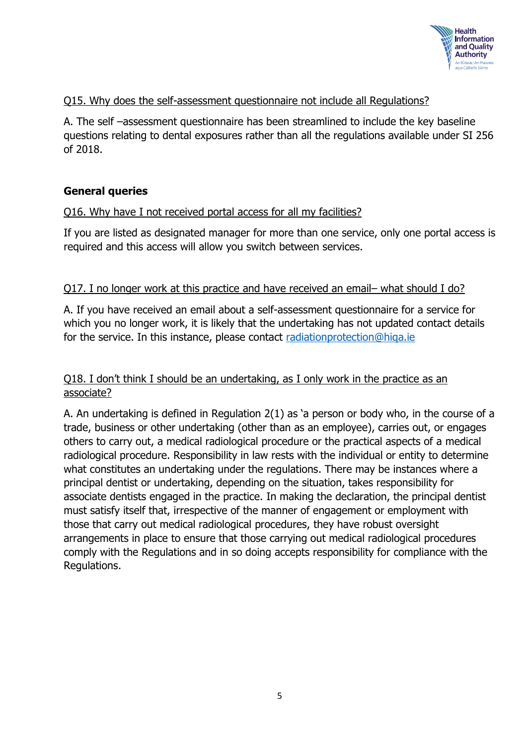

## Q15. Why does the self-assessment questionnaire not include all Regulations?

A. The self –assessment questionnaire has been streamlined to include the key baseline questions relating to dental exposures rather than all the regulations available under SI 256 of 2018.

### **General queries**

### Q16. Why have I not received portal access for all my facilities?

If you are listed as designated manager for more than one service, only one portal access is required and this access will allow you switch between services.

#### Q17. I no longer work at this practice and have received an email– what should I do?

A. If you have received an email about a self-assessment questionnaire for a service for which you no longer work, it is likely that the undertaking has not updated contact details for the service. In this instance, please contact radiationprotection@higa.ie

## Q18. I don't think I should be an undertaking, as I only work in the practice as an associate?

A. An undertaking is defined in Regulation 2(1) as 'a person or body who, in the course of a trade, business or other undertaking (other than as an employee), carries out, or engages others to carry out, a medical radiological procedure or the practical aspects of a medical radiological procedure. Responsibility in law rests with the individual or entity to determine what constitutes an undertaking under the regulations. There may be instances where a principal dentist or undertaking, depending on the situation, takes responsibility for associate dentists engaged in the practice. In making the declaration, the principal dentist must satisfy itself that, irrespective of the manner of engagement or employment with those that carry out medical radiological procedures, they have robust oversight arrangements in place to ensure that those carrying out medical radiological procedures comply with the Regulations and in so doing accepts responsibility for compliance with the Regulations.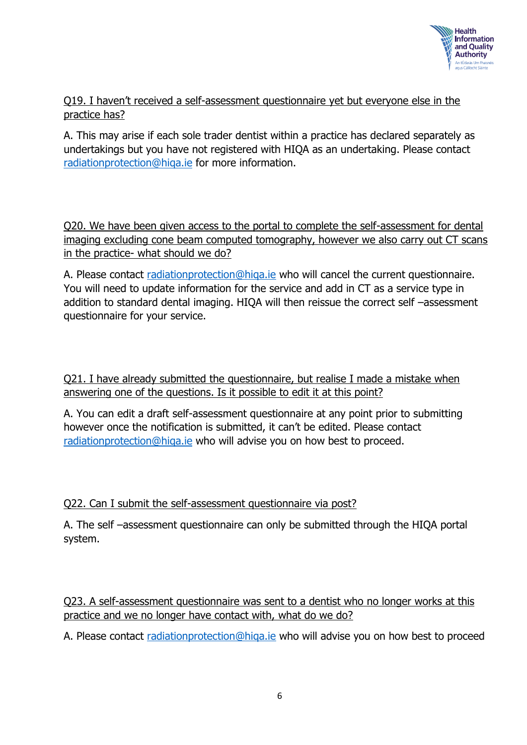

Q19. I haven't received a self-assessment questionnaire yet but everyone else in the practice has?

A. This may arise if each sole trader dentist within a practice has declared separately as undertakings but you have not registered with HIQA as an undertaking. Please contact [radiationprotection@hiqa.ie](mailto:radiationprotection@hiqa.ie) for more information.

Q20. We have been given access to the portal to complete the self-assessment for dental imaging excluding cone beam computed tomography, however we also carry out CT scans in the practice- what should we do?

A. Please contact [radiationprotection@hiqa.ie](mailto:radiationprotection@hiqa.ie) who will cancel the current questionnaire. You will need to update information for the service and add in CT as a service type in addition to standard dental imaging. HIQA will then reissue the correct self –assessment questionnaire for your service.

Q21. I have already submitted the questionnaire, but realise I made a mistake when answering one of the questions. Is it possible to edit it at this point?

A. You can edit a draft self-assessment questionnaire at any point prior to submitting however once the notification is submitted, it can't be edited. Please contact [radiationprotection@hiqa.ie](mailto:radiationprotection@hiqa.ie) who will advise you on how best to proceed.

Q22. Can I submit the self-assessment questionnaire via post?

A. The self –assessment questionnaire can only be submitted through the HIQA portal system.

Q23. A self-assessment questionnaire was sent to a dentist who no longer works at this practice and we no longer have contact with, what do we do?

A. Please contact radiationprotection@higa.ie who will advise you on how best to proceed